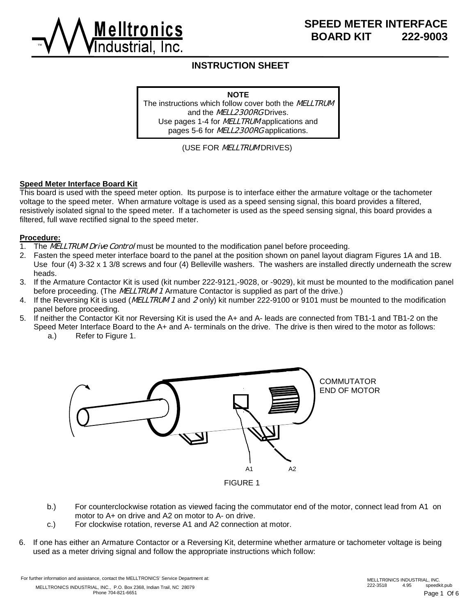

**NOTE** 

The instructions which follow cover both the **MELLTRUM**  and the **MELL2300RG** Drives. Use pages 1-4 for **MELLTRUM** applications and pages 5-6 for **MELL2300RG** applications.

(USE FOR **MELLTRUM** DRIVES)

#### **Speed Meter Interface Board Kit**

This board is used with the speed meter option. Its purpose is to interface either the armature voltage or the tachometer voltage to the speed meter. When armature voltage is used as a speed sensing signal, this board provides a filtered, resistively isolated signal to the speed meter. If a tachometer is used as the speed sensing signal, this board provides a filtered, full wave rectified signal to the speed meter.

#### **Procedure:**

- 1. The **MELLTRUM Drive Control** must be mounted to the modification panel before proceeding.
- 2. Fasten the speed meter interface board to the panel at the position shown on panel layout diagram Figures 1A and 1B. Use four (4) 3-32 x 1 3/8 screws and four (4) Belleville washers. The washers are installed directly underneath the screw heads.
- 3. If the Armature Contactor Kit is used (kit number 222-9121,-9028, or -9029), kit must be mounted to the modification panel before proceeding. (The **MELLTRUM 1** Armature Contactor is supplied as part of the drive.)
- 4. If the Reversing Kit is used (**MELLTRUM 1** and **2** only) kit number 222-9100 or 9101 must be mounted to the modification panel before proceeding.
- 5. If neither the Contactor Kit nor Reversing Kit is used the A+ and A- leads are connected from TB1-1 and TB1-2 on the Speed Meter Interface Board to the A+ and A- terminals on the drive. The drive is then wired to the motor as follows:
	- a.) Refer to Figure 1.



- b.) For counterclockwise rotation as viewed facing the commutator end of the motor, connect lead from A1 on motor to A+ on drive and A2 on motor to A- on drive.
- c.) For clockwise rotation, reverse A1 and A2 connection at motor.
- 6. If one has either an Armature Contactor or a Reversing Kit, determine whether armature or tachometer voltage is being used as a meter driving signal and follow the appropriate instructions which follow: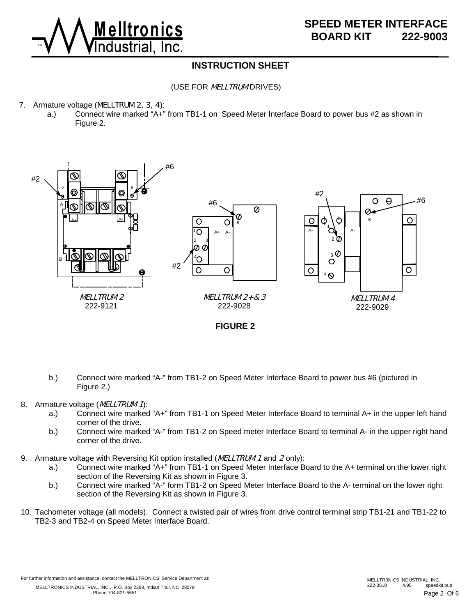

(USE FOR **MELLTRUM** DRIVES)

- 7. Armature voltage (**MELLTRUM 2, 3, 4**):
	- a.) Connect wire marked "A+" from TB1-1 on Speed Meter Interface Board to power bus #2 as shown in Figure 2.



**FIGURE 2** 

- b.) Connect wire marked "A-" from TB1-2 on Speed Meter Interface Board to power bus #6 (pictured in Figure 2.)
- 8. Armature voltage (**MELLTRUM 1**):
	- a.) Connect wire marked "A+" from TB1-1 on Speed Meter Interface Board to terminal A+ in the upper left hand corner of the drive.
	- b.) Connect wire marked "A-" from TB1-2 on Speed meter Interface Board to terminal A- in the upper right hand corner of the drive.
- 9. Armature voltage with Reversing Kit option installed (**MELLTRUM 1** and **2** only):
	- a.) Connect wire marked "A+" from TB1-1 on Speed Meter Interface Board to the A+ terminal on the lower right section of the Reversing Kit as shown in Figure 3.
	- b.) Connect wire marked "A-" form TB1-2 on Speed Meter Interface Board to the A- terminal on the lower right section of the Reversing Kit as shown in Figure 3.
- 10. Tachometer voltage (all models): Connect a twisted pair of wires from drive control terminal strip TB1-21 and TB1-22 to TB2-3 and TB2-4 on Speed Meter Interface Board.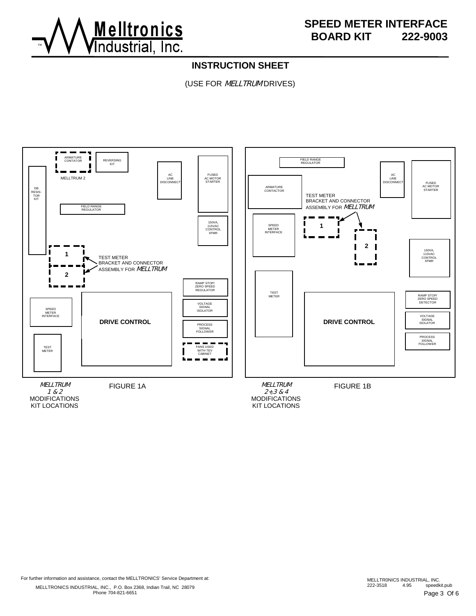

(USE FOR **MELLTRUM** DRIVES)

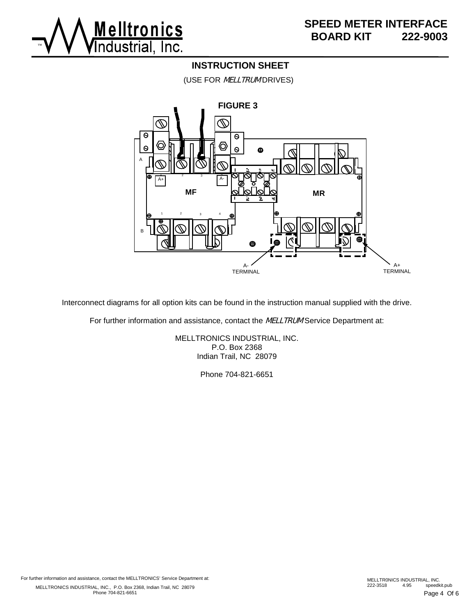

(USE FOR **MELLTRUM** DRIVES)



Interconnect diagrams for all option kits can be found in the instruction manual supplied with the drive.

For further information and assistance, contact the **MELLTRUM** Service Department at:

MELLTRONICS INDUSTRIAL, INC. P.O. Box 2368 Indian Trail, NC 28079

Phone 704-821-6651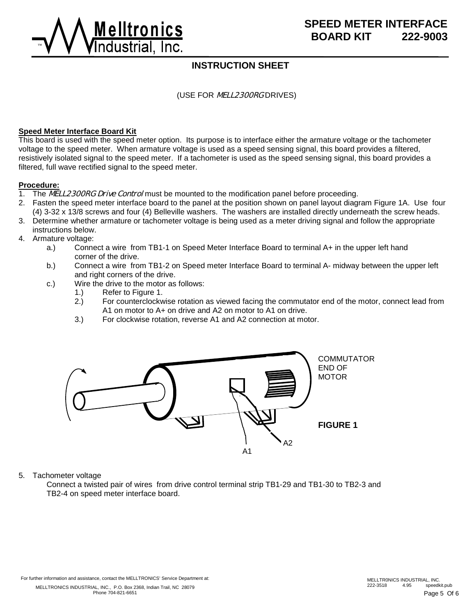

(USE FOR **MELL2300RG** DRIVES)

#### **Speed Meter Interface Board Kit**

This board is used with the speed meter option. Its purpose is to interface either the armature voltage or the tachometer voltage to the speed meter. When armature voltage is used as a speed sensing signal, this board provides a filtered, resistively isolated signal to the speed meter. If a tachometer is used as the speed sensing signal, this board provides a filtered, full wave rectified signal to the speed meter.

#### **Procedure:**

- 1. The **MELL2300RG Drive Control** must be mounted to the modification panel before proceeding.
- 2. Fasten the speed meter interface board to the panel at the position shown on panel layout diagram Figure 1A. Use four (4) 3-32 x 13/8 screws and four (4) Belleville washers. The washers are installed directly underneath the screw heads.
- 3. Determine whether armature or tachometer voltage is being used as a meter driving signal and follow the appropriate instructions below.
- 4. Armature voltage:
	- a.) Connect a wire from TB1-1 on Speed Meter Interface Board to terminal A+ in the upper left hand corner of the drive.
	- b.) Connect a wire from TB1-2 on Speed meter Interface Board to terminal A- midway between the upper left and right corners of the drive.
	- c.) Wire the drive to the motor as follows:
		- 1.) Refer to Figure 1.
		- 2.) For counterclockwise rotation as viewed facing the commutator end of the motor, connect lead from A1 on motor to A+ on drive and A2 on motor to A1 on drive.
		- 3.) For clockwise rotation, reverse A1 and A2 connection at motor.



5. Tachometer voltage

 Connect a twisted pair of wires from drive control terminal strip TB1-29 and TB1-30 to TB2-3 and TB2-4 on speed meter interface board.